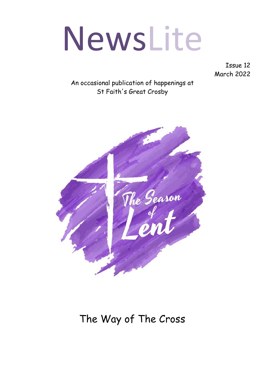# NewsLite

Issue 12 March 2022

An occasional publication of happenings at St Faith's Great Crosby



# The Way of The Cross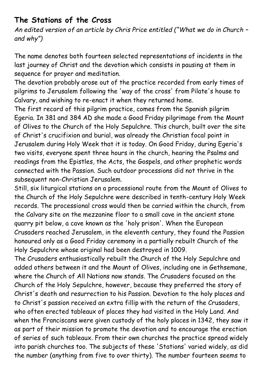### **The Stations of the Cross**

*An edited version of an article by Chris Price entitled ("What we do in Church – and why")*

The name denotes both fourteen selected representations of incidents in the last journey of Christ and the devotion which consists in pausing at them in sequence for prayer and meditation.

The devotion probably arose out of the practice recorded from early times of pilgrims to Jerusalem following the 'way of the cross' from Pilate's house to Calvary, and wishing to re-enact it when they returned home.

The first record of this pilgrim practice, comes from the Spanish pilgrim Egeria. In 381 and 384 AD she made a Good Friday pilgrimage from the Mount of Olives to the Church of the Holy Sepulchre. This church, built over the site of Christ's crucifixion and burial, was already the Christian focal point in Jerusalem during Holy Week that it is today. On Good Friday, during Egeria's two visits, everyone spent three hours in the church, hearing the Psalms and readings from the Epistles, the Acts, the Gospels, and other prophetic words connected with the Passion. Such outdoor processions did not thrive in the subsequent non-Christian Jerusalem.

Still, six liturgical stations on a processional route from the Mount of Olives to the Church of the Holy Sepulchre were described in tenth-century Holy Week records. The processional cross would then be carried within the church, from the Calvary site on the mezzanine floor to a small cave in the ancient stone quarry pit below, a cave known as the 'holy prison'. When the European Crusaders reached Jerusalem, in the eleventh century, they found the Passion honoured only as a Good Friday ceremony in a partially rebuilt Church of the Holy Sepulchre whose original had been destroyed in 1009.

The Crusaders enthusiastically rebuilt the Church of the Holy Sepulchre and added others between it and the Mount of Olives, including one in Gethsemane, where the Church of All Nations now stands. The Crusaders focused on the Church of the Holy Sepulchre, however, because they preferred the story of Christ's death and resurrection to his Passion. Devotion to the holy places and to Christ's passion received an extra fillip with the return of the Crusaders, who often erected tableaux of places they had visited in the Holy Land. And when the Franciscans were given custody of the holy places in 1342, they saw it as part of their mission to promote the devotion and to encourage the erection of series of such tableaux. From their own churches the practice spread widely into parish churches too. The subjects of these 'Stations' varied widely, as did the number (anything from five to over thirty). The number fourteen seems to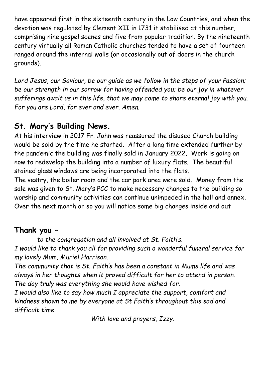have appeared first in the sixteenth century in the Low Countries, and when the devotion was regulated by Clement XII in 1731 it stabilised at this number, comprising nine gospel scenes and five from popular tradition. By the nineteenth century virtually all Roman Catholic churches tended to have a set of fourteen ranged around the internal walls (or occasionally out of doors in the church grounds).

*Lord Jesus, our Saviour, be our guide as we follow in the steps of your Passion; be our strength in our sorrow for having offended you; be our joy in whatever sufferings await us in this life, that we may come to share eternal joy with you. For you are Lord, for ever and ever. Amen.*

# **St. Mary's Building News.**

At his interview in 2017 Fr. John was reassured the disused Church building would be sold by the time he started. After a long time extended further by the pandemic the building was finally sold in January 2022. Work is going on now to redevelop the building into a number of luxury flats. The beautiful stained glass windows are being incorporated into the flats.

The vestry, the boiler room and the car park area were sold. Money from the sale was given to St. Mary's PCC to make necessary changes to the building so worship and community activities can continue unimpeded in the hall and annex. Over the next month or so you will notice some big changes inside and out

# **Thank you –**

to the congregation and all involved at St. Faith's.

*I would like to thank you all for providing such a wonderful funeral service for my lovely Mum, Muriel Harrison.*

*The community that is St. Faith's has been a constant in Mums life and was always in her thoughts when it proved difficult for her to attend in person. The day truly was everything she would have wished for.*

*I would also like to say how much I appreciate the support, comfort and kindness shown to me by everyone at St Faith's throughout this sad and difficult time.*

*With love and prayers, Izzy.*